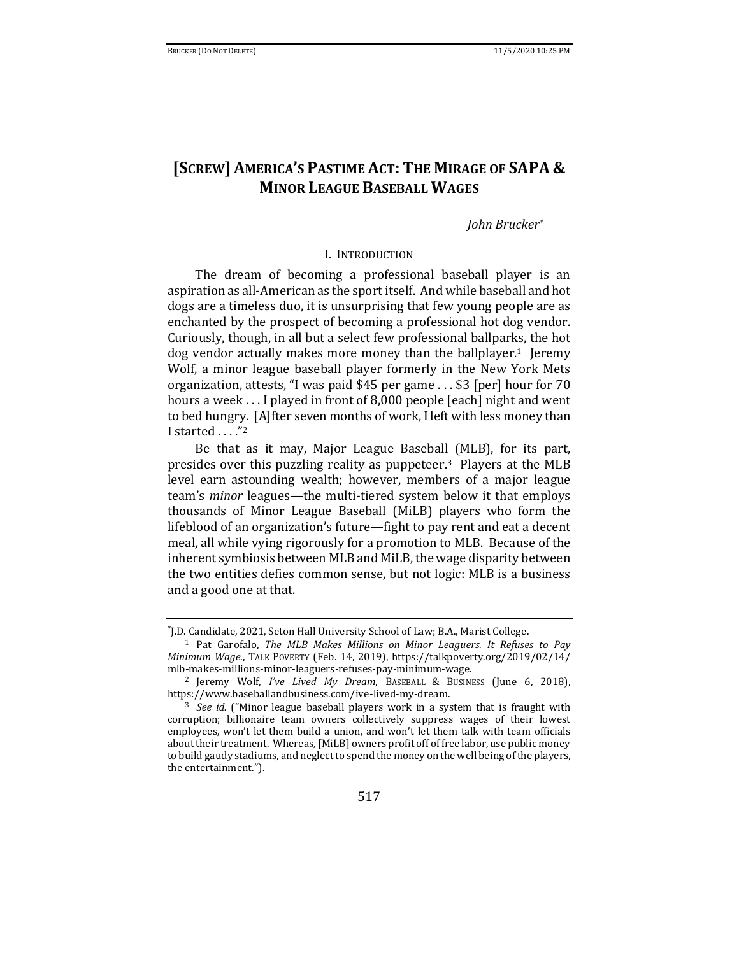# **[SCREW] AMERICA'S PASTIME ACT: THE MIRAGE OF SAPA & MINOR LEAGUE BASEBALL WAGES**

*John Brucker\**

### I. INTRODUCTION

The dream of becoming a professional baseball player is an aspiration as all-American as the sport itself. And while baseball and hot dogs are a timeless duo, it is unsurprising that few young people are as enchanted by the prospect of becoming a professional hot dog vendor. Curiously, though, in all but a select few professional ballparks, the hot dog vendor actually makes more money than the ballplayer.<sup>1</sup> Jeremy Wolf, a minor league baseball player formerly in the New York Mets organization, attests, "I was paid \$45 per game . . . \$3 [per] hour for 70 hours a week . . . I played in front of 8,000 people [each] night and went to bed hungry. [A]fter seven months of work, I left with less money than I started . . . . "2

Be that as it may, Major League Baseball (MLB), for its part, presides over this puzzling reality as puppeteer. <sup>3</sup> Players at the MLB level earn astounding wealth; however, members of a major league team's *minor* leagues—the multi-tiered system below it that employs thousands of Minor League Baseball (MiLB) players who form the lifeblood of an organization's future—fight to pay rent and eat a decent meal, all while vying rigorously for a promotion to MLB. Because of the inherent symbiosis between MLB and MiLB, the wage disparity between the two entities defies common sense, but not logic: MLB is a business and a good one at that.

<sup>\*</sup> J.D. Candidate, 2021, Seton Hall University School of Law; B.A., Marist College.

<sup>1</sup> Pat Garofalo, *The MLB Makes Millions on Minor Leaguers. It Refuses to Pay Minimum Wage*., TALK POVERTY (Feb. 14, 2019), https://talkpoverty.org/2019/02/14/ mlb-makes-millions-minor-leaguers-refuses-pay-minimum-wage.

<sup>2</sup> Jeremy Wolf, *I've Lived My Dream*, BASEBALL & BUSINESS (June 6, 2018), https://www.baseballandbusiness.com/ive-lived-my-dream.

<sup>3</sup> *See id.* ("Minor league baseball players work in a system that is fraught with corruption; billionaire team owners collectively suppress wages of their lowest employees, won't let them build a union, and won't let them talk with team officials about their treatment. Whereas, [MiLB] owners profit off of free labor, use public money to build gaudy stadiums, and neglect to spend the money on the well being of the players, the entertainment.").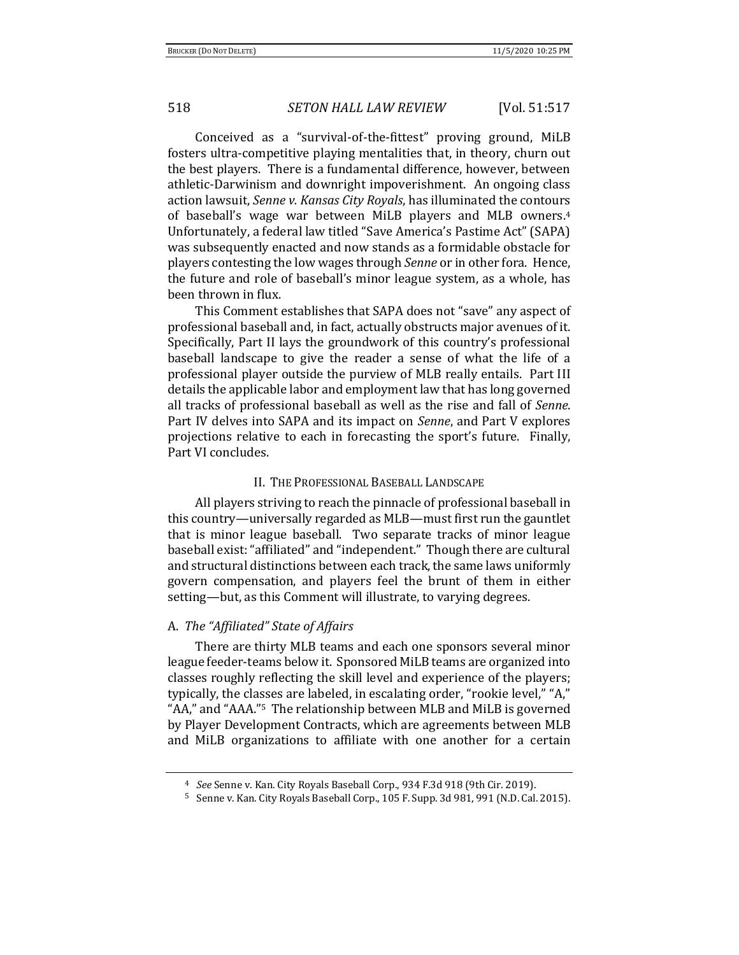Conceived as a "survival-of-the-fittest" proving ground, MiLB fosters ultra-competitive playing mentalities that, in theory, churn out the best players. There is a fundamental difference, however, between athletic-Darwinism and downright impoverishment. An ongoing class action lawsuit, *Senne v. Kansas City Royals*, has illuminated the contours of baseball's wage war between MiLB players and MLB owners.<sup>4</sup> Unfortunately, a federal law titled "Save America's Pastime Act" (SAPA) was subsequently enacted and now stands as a formidable obstacle for players contesting the low wages through *Senne* or in other fora. Hence, the future and role of baseball's minor league system, as a whole, has been thrown in flux.

This Comment establishes that SAPA does not "save" any aspect of professional baseball and, in fact, actually obstructs major avenues of it. Specifically, Part II lays the groundwork of this country's professional baseball landscape to give the reader a sense of what the life of a professional player outside the purview of MLB really entails. Part III details the applicable labor and employment law that has long governed all tracks of professional baseball as well as the rise and fall of *Senne*. Part IV delves into SAPA and its impact on *Senne*, and Part V explores projections relative to each in forecasting the sport's future. Finally, Part VI concludes.

### II. THE PROFESSIONAL BASEBALL LANDSCAPE

All players striving to reach the pinnacle of professional baseball in this country—universally regarded as MLB—must first run the gauntlet that is minor league baseball. Two separate tracks of minor league baseball exist: "affiliated" and "independent." Though there are cultural and structural distinctions between each track, the same laws uniformly govern compensation, and players feel the brunt of them in either setting—but, as this Comment will illustrate, to varying degrees.

### A. *The "Affiliated" State of Affairs*

There are thirty MLB teams and each one sponsors several minor league feeder-teams below it. Sponsored MiLB teams are organized into classes roughly reflecting the skill level and experience of the players; typically, the classes are labeled, in escalating order, "rookie level," "A," "AA," and "AAA."5 The relationship between MLB and MiLB is governed by Player Development Contracts, which are agreements between MLB and MiLB organizations to affiliate with one another for a certain

<sup>4</sup> *See* Senne v. Kan. City Royals Baseball Corp., 934 F.3d 918 (9th Cir. 2019).

<sup>5</sup> Senne v. Kan. City Royals Baseball Corp., 105 F. Supp. 3d 981, 991 (N.D. Cal. 2015).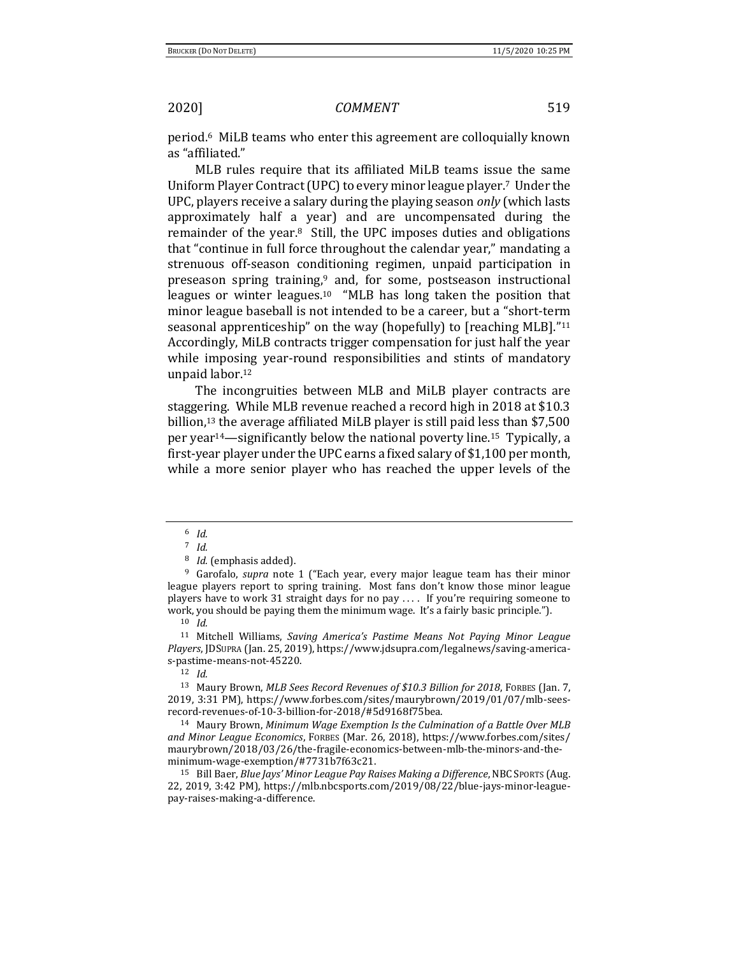period.6 MiLB teams who enter this agreement are colloquially known as "affiliated."

MLB rules require that its affiliated MiLB teams issue the same Uniform Player Contract (UPC) to every minor league player.7 Under the UPC, players receive a salary during the playing season *only* (which lasts approximately half a year) and are uncompensated during the remainder of the year.<sup>8</sup> Still, the UPC imposes duties and obligations that "continue in full force throughout the calendar year," mandating a strenuous off-season conditioning regimen, unpaid participation in preseason spring training,<sup>9</sup> and, for some, postseason instructional leagues or winter leagues.<sup>10</sup> "MLB has long taken the position that minor league baseball is not intended to be a career, but a "short-term seasonal apprenticeship" on the way (hopefully) to [reaching MLB]."<sup>11</sup> Accordingly, MiLB contracts trigger compensation for just half the year while imposing year-round responsibilities and stints of mandatory unpaid labor.<sup>12</sup>

The incongruities between MLB and MiLB player contracts are staggering. While MLB revenue reached a record high in 2018 at \$10.3 billion,<sup>13</sup> the average affiliated MiLB player is still paid less than \$7,500 per year14—significantly below the national poverty line.15 Typically, a first-year player under the UPC earns a fixed salary of \$1,100 per month, while a more senior player who has reached the upper levels of the

<sup>8</sup> *Id.* (emphasis added).

<sup>9</sup> Garofalo, *supra* note 1 ("Each year, every major league team has their minor league players report to spring training. Most fans don't know those minor league players have to work 31 straight days for no pay  $\dots$  If you're requiring someone to work, you should be paying them the minimum wage. It's a fairly basic principle.").

<sup>10</sup> *Id.*

<sup>11</sup> Mitchell Williams, *Saving America's Pastime Means Not Paying Minor League Players*, JDSUPRA (Jan. 25, 2019), https://www.jdsupra.com/legalnews/saving-americas-pastime-means-not-45220.

<sup>12</sup> *Id.*

<sup>13</sup> Maury Brown, *MLB Sees Record Revenues of \$10.3 Billion for 2018*, FORBES (Jan. 7, 2019, 3:31 PM), https://www.forbes.com/sites/maurybrown/2019/01/07/mlb-seesrecord-revenues-of-10-3-billion-for-2018/#5d9168f75bea.

<sup>14</sup> Maury Brown, *Minimum Wage Exemption Is the Culmination of a Battle Over MLB and Minor League Economics*, FORBES (Mar. 26, 2018), https://www.forbes.com/sites/ maurybrown/2018/03/26/the-fragile-economics-between-mlb-the-minors-and-theminimum-wage-exemption/#7731b7f63c21.

<sup>15</sup> Bill Baer, *Blue Jays' Minor League Pay Raises Making a Difference*, NBC SPORTS (Aug. 22, 2019, 3:42 PM), https://mlb.nbcsports.com/2019/08/22/blue-jays-minor-leaguepay-raises-making-a-difference.

<sup>6</sup> *Id.*

<sup>7</sup> *Id.*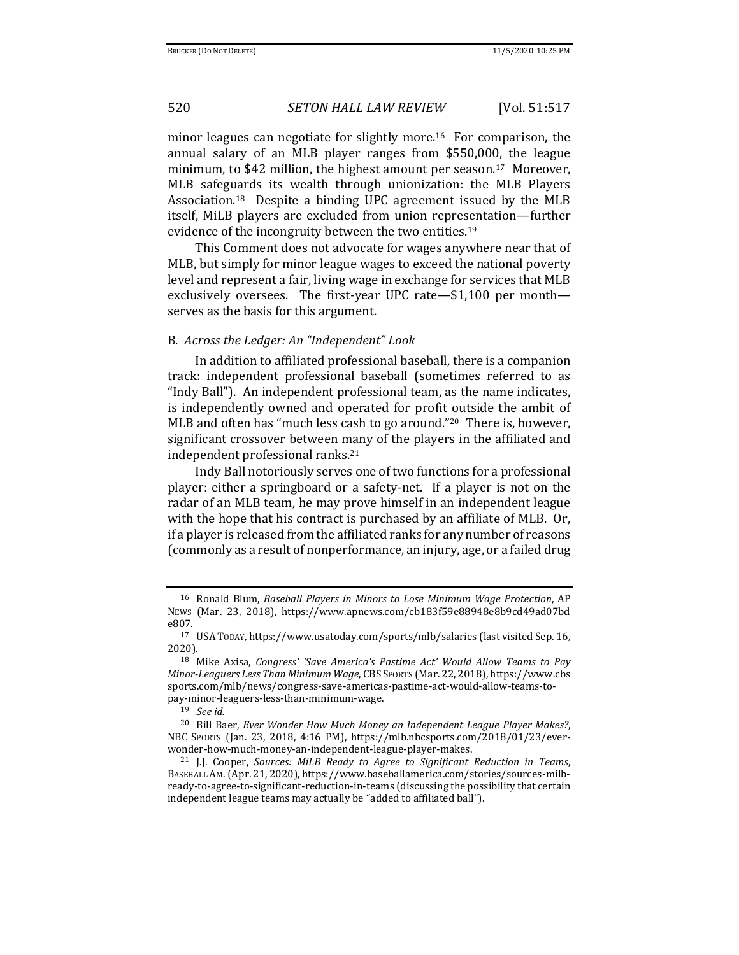minor leagues can negotiate for slightly more.16 For comparison, the annual salary of an MLB player ranges from \$550,000, the league minimum, to \$42 million, the highest amount per season.<sup>17</sup> Moreover, MLB safeguards its wealth through unionization: the MLB Players Association.18 Despite a binding UPC agreement issued by the MLB itself, MiLB players are excluded from union representation—further evidence of the incongruity between the two entities.<sup>19</sup>

This Comment does not advocate for wages anywhere near that of MLB, but simply for minor league wages to exceed the national poverty level and represent a fair, living wage in exchange for services that MLB exclusively oversees. The first-year UPC rate—\$1,100 per month serves as the basis for this argument.

### B. *Across the Ledger: An "Independent" Look*

In addition to affiliated professional baseball, there is a companion track: independent professional baseball (sometimes referred to as "Indy Ball"). An independent professional team, as the name indicates, is independently owned and operated for profit outside the ambit of MLB and often has "much less cash to go around."20 There is, however, significant crossover between many of the players in the affiliated and independent professional ranks.<sup>21</sup>

Indy Ball notoriously serves one of two functions for a professional player: either a springboard or a safety-net. If a player is not on the radar of an MLB team, he may prove himself in an independent league with the hope that his contract is purchased by an affiliate of MLB. Or, if a player is released from the affiliated ranks for any number of reasons (commonly as a result of nonperformance, an injury, age, or a failed drug

<sup>16</sup> Ronald Blum, *Baseball Players in Minors to Lose Minimum Wage Protection*, AP NEWS (Mar. 23, 2018), https://www.apnews.com/cb183f59e88948e8b9cd49ad07bd e807.

<sup>17</sup> USATODAY, https://www.usatoday.com/sports/mlb/salaries (last visited Sep. 16, 2020).

<sup>18</sup> Mike Axisa, *Congress' 'Save America's Pastime Act' Would Allow Teams to Pay Minor-Leaguers Less Than Minimum Wage*, CBS SPORTS (Mar. 22, 2018), https://www.cbs sports.com/mlb/news/congress-save-americas-pastime-act-would-allow-teams-topay-minor-leaguers-less-than-minimum-wage.

<sup>19</sup> *See id.*

<sup>20</sup> Bill Baer, *Ever Wonder How Much Money an Independent League Player Makes?*, NBC SPORTS (Jan. 23, 2018, 4:16 PM), https://mlb.nbcsports.com/2018/01/23/everwonder-how-much-money-an-independent-league-player-makes.

<sup>21</sup> J.J. Cooper, *Sources: MiLB Ready to Agree to Significant Reduction in Teams*, BASEBALL AM. (Apr. 21, 2020), https://www.baseballamerica.com/stories/sources-milbready-to-agree-to-significant-reduction-in-teams (discussing the possibility that certain independent league teams may actually be "added to affiliated ball").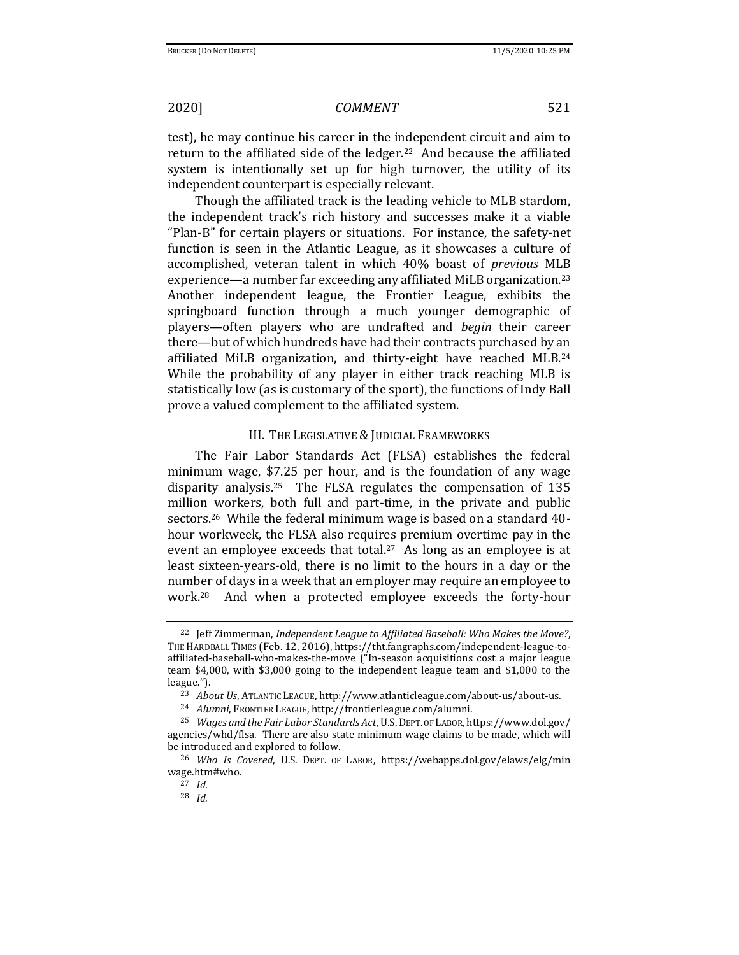test), he may continue his career in the independent circuit and aim to return to the affiliated side of the ledger.22 And because the affiliated system is intentionally set up for high turnover, the utility of its independent counterpart is especially relevant.

Though the affiliated track is the leading vehicle to MLB stardom, the independent track's rich history and successes make it a viable "Plan-B" for certain players or situations. For instance, the safety-net function is seen in the Atlantic League, as it showcases a culture of accomplished, veteran talent in which 40% boast of *previous* MLB experience—a number far exceeding any affiliated MiLB organization.<sup>23</sup> Another independent league, the Frontier League, exhibits the springboard function through a much younger demographic of players—often players who are undrafted and *begin* their career there—but of which hundreds have had their contracts purchased by an affiliated MiLB organization, and thirty-eight have reached MLB.<sup>24</sup> While the probability of any player in either track reaching MLB is statistically low (as is customary of the sport), the functions of Indy Ball prove a valued complement to the affiliated system.

### III. THE LEGISLATIVE & JUDICIAL FRAMEWORKS

The Fair Labor Standards Act (FLSA) establishes the federal minimum wage, \$7.25 per hour, and is the foundation of any wage disparity analysis.25 The FLSA regulates the compensation of 135 million workers, both full and part-time, in the private and public sectors.26 While the federal minimum wage is based on a standard 40 hour workweek, the FLSA also requires premium overtime pay in the event an employee exceeds that total.<sup>27</sup> As long as an employee is at least sixteen-years-old, there is no limit to the hours in a day or the number of days in a week that an employer may require an employee to work.28 And when a protected employee exceeds the forty-hour

<sup>22</sup> Jeff Zimmerman, *Independent League to Affiliated Baseball: Who Makes the Move?*, THE HARDBALL TIMES (Feb. 12, 2016), https://tht.fangraphs.com/independent-league-toaffiliated-baseball-who-makes-the-move ("In-season acquisitions cost a major league team \$4,000, with \$3,000 going to the independent league team and \$1,000 to the league.").

<sup>23</sup> *About Us*, ATLANTIC LEAGUE, http://www.atlanticleague.com/about-us/about-us.

<sup>24</sup> *Alumni*, FRONTIER LEAGUE, http://frontierleague.com/alumni.

<sup>25</sup> *Wages and the Fair Labor Standards Act*, U.S.DEPT. OF LABOR, https://www.dol.gov/ agencies/whd/flsa. There are also state minimum wage claims to be made, which will be introduced and explored to follow.

<sup>26</sup> *Who Is Covered*, U.S. DEPT. OF LABOR, https://webapps.dol.gov/elaws/elg/min wage.htm#who.

<sup>27</sup> *Id.*

<sup>28</sup> *Id.*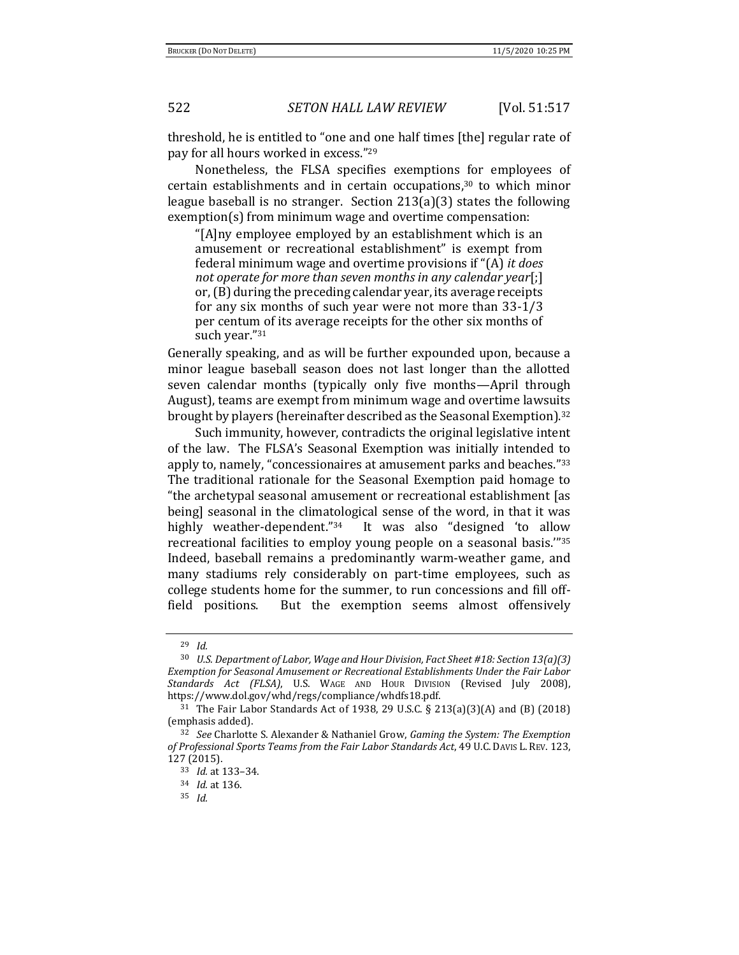threshold, he is entitled to "one and one half times [the] regular rate of pay for all hours worked in excess."<sup>29</sup>

Nonetheless, the FLSA specifies exemptions for employees of certain establishments and in certain occupations, $30$  to which minor league baseball is no stranger. Section 213(a)(3) states the following exemption(s) from minimum wage and overtime compensation:

"[A]ny employee employed by an establishment which is an amusement or recreational establishment" is exempt from federal minimum wage and overtime provisions if "(A) *it does not operate for more than seven months in any calendar year*[;] or, (B) during the preceding calendar year, its average receipts for any six months of such year were not more than 33-1/3 per centum of its average receipts for the other six months of such year."<sup>31</sup>

Generally speaking, and as will be further expounded upon, because a minor league baseball season does not last longer than the allotted seven calendar months (typically only five months—April through August), teams are exempt from minimum wage and overtime lawsuits brought by players (hereinafter described as the Seasonal Exemption).<sup>32</sup>

Such immunity, however, contradicts the original legislative intent of the law. The FLSA's Seasonal Exemption was initially intended to apply to, namely, "concessionaires at amusement parks and beaches."<sup>33</sup> The traditional rationale for the Seasonal Exemption paid homage to "the archetypal seasonal amusement or recreational establishment [as being] seasonal in the climatological sense of the word, in that it was highly weather-dependent."<sup>34</sup> It was also "designed 'to allow recreational facilities to employ young people on a seasonal basis.'"<sup>35</sup> Indeed, baseball remains a predominantly warm-weather game, and many stadiums rely considerably on part-time employees, such as college students home for the summer, to run concessions and fill offfield positions. But the exemption seems almost offensively

<sup>29</sup> *Id.*

<sup>30</sup> *U.S. Department of Labor, Wage and Hour Division, Fact Sheet #18: Section 13(a)(3) Exemption for Seasonal Amusement or Recreational Establishments Under the Fair Labor Standards Act (FLSA)*, U.S. WAGE AND HOUR DIVISION (Revised July 2008), https://www.dol.gov/whd/regs/compliance/whdfs18.pdf.

<sup>31</sup> The Fair Labor Standards Act of 1938, 29 U.S.C. § 213(a)(3)(A) and (B) (2018) (emphasis added).

<sup>32</sup> *See* Charlotte S. Alexander & Nathaniel Grow, *Gaming the System: The Exemption of Professional Sports Teams from the Fair Labor Standards Act*, 49 U.C. DAVIS L. REV. 123, 127 (2015).

<sup>33</sup> *Id.* at 133–34.

<sup>34</sup> *Id.* at 136.

<sup>35</sup> *Id.*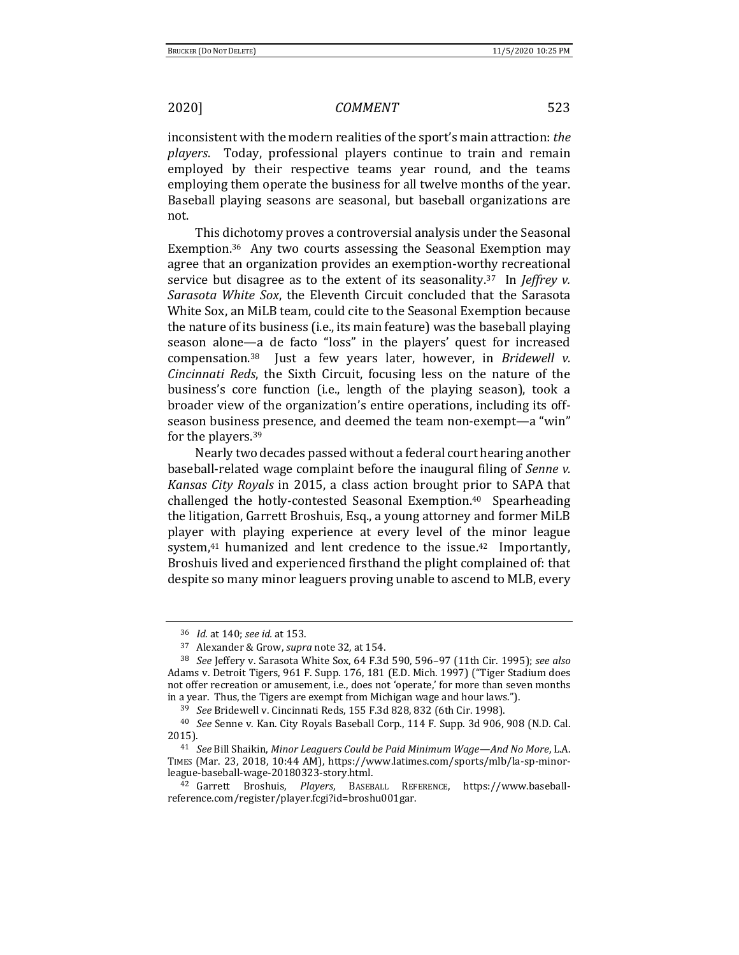inconsistent with the modern realities of the sport's main attraction: *the players*. Today, professional players continue to train and remain employed by their respective teams year round, and the teams employing them operate the business for all twelve months of the year. Baseball playing seasons are seasonal, but baseball organizations are not.

This dichotomy proves a controversial analysis under the Seasonal Exemption.36 Any two courts assessing the Seasonal Exemption may agree that an organization provides an exemption-worthy recreational service but disagree as to the extent of its seasonality.37 In *Jeffrey v. Sarasota White Sox*, the Eleventh Circuit concluded that the Sarasota White Sox, an MiLB team, could cite to the Seasonal Exemption because the nature of its business (i.e., its main feature) was the baseball playing season alone—a de facto "loss" in the players' quest for increased compensation.38 Just a few years later, however, in *Bridewell v. Cincinnati Reds*, the Sixth Circuit, focusing less on the nature of the business's core function (i.e., length of the playing season), took a broader view of the organization's entire operations, including its offseason business presence, and deemed the team non-exempt—a "win" for the players.<sup>39</sup>

Nearly two decades passed without a federal court hearing another baseball-related wage complaint before the inaugural filing of *Senne v. Kansas City Royals* in 2015, a class action brought prior to SAPA that challenged the hotly-contested Seasonal Exemption.40 Spearheading the litigation, Garrett Broshuis, Esq., a young attorney and former MiLB player with playing experience at every level of the minor league system, $41$  humanized and lent credence to the issue. $42$  Importantly, Broshuis lived and experienced firsthand the plight complained of: that despite so many minor leaguers proving unable to ascend to MLB, every

<sup>36</sup> *Id.* at 140; *see id.* at 153.

<sup>37</sup> Alexander & Grow, *supra* note 32, at 154.

<sup>38</sup> *See* Jeffery v. Sarasota White Sox, 64 F.3d 590, 596–97 (11th Cir. 1995); *see also* Adams v. Detroit Tigers, 961 F. Supp. 176, 181 (E.D. Mich. 1997) ("Tiger Stadium does not offer recreation or amusement, i.e., does not 'operate,' for more than seven months in a year. Thus, the Tigers are exempt from Michigan wage and hour laws.").

<sup>39</sup> *See* Bridewell v. Cincinnati Reds, 155 F.3d 828, 832 (6th Cir. 1998).

<sup>40</sup> *See* Senne v. Kan. City Royals Baseball Corp., 114 F. Supp. 3d 906, 908 (N.D. Cal. 2015).

<sup>41</sup> *See* Bill Shaikin, *Minor Leaguers Could be Paid Minimum Wage—And No More*, L.A. TIMES (Mar. 23, 2018, 10:44 AM), https://www.latimes.com/sports/mlb/la-sp-minorleague-baseball-wage-20180323-story.html.

<sup>42</sup> Garrett Broshuis, *Players*, BASEBALL REFERENCE, https://www.baseballreference.com/register/player.fcgi?id=broshu001gar.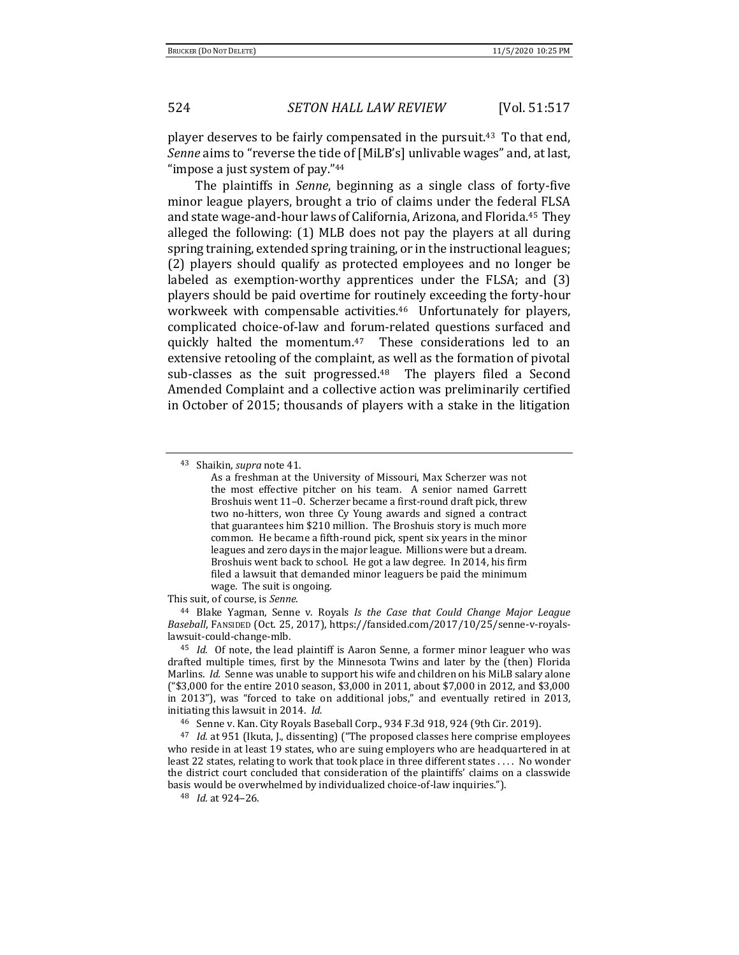player deserves to be fairly compensated in the pursuit.43 To that end, *Senne* aims to "reverse the tide of [MiLB's] unlivable wages" and, at last, "impose a just system of pay."<sup>44</sup>

The plaintiffs in *Senne*, beginning as a single class of forty-five minor league players, brought a trio of claims under the federal FLSA and state wage-and-hour laws of California, Arizona, and Florida.45 They alleged the following: (1) MLB does not pay the players at all during spring training, extended spring training, or in the instructional leagues; (2) players should qualify as protected employees and no longer be labeled as exemption-worthy apprentices under the FLSA; and (3) players should be paid overtime for routinely exceeding the forty-hour workweek with compensable activities.<sup>46</sup> Unfortunately for players, complicated choice-of-law and forum-related questions surfaced and quickly halted the momentum.<sup>47</sup> These considerations led to an extensive retooling of the complaint, as well as the formation of pivotal sub-classes as the suit progressed.<sup>48</sup> The players filed a Second Amended Complaint and a collective action was preliminarily certified in October of 2015; thousands of players with a stake in the litigation

This suit, of course, is *Senne*.

<sup>44</sup> Blake Yagman, Senne v. Royals *Is the Case that Could Change Major League Baseball*, FANSIDED (Oct. 25, 2017), https://fansided.com/2017/10/25/senne-v-royalslawsuit-could-change-mlb.

<sup>43</sup> Shaikin, *supra* note 41.

As a freshman at the University of Missouri, Max Scherzer was not the most effective pitcher on his team. A senior named Garrett Broshuis went 11–0. Scherzer became a first-round draft pick, threw two no-hitters, won three Cy Young awards and signed a contract that guarantees him \$210 million. The Broshuis story is much more common. He became a fifth-round pick, spent six years in the minor leagues and zero days in the major league. Millions were but a dream. Broshuis went back to school. He got a law degree. In 2014, his firm filed a lawsuit that demanded minor leaguers be paid the minimum wage. The suit is ongoing.

<sup>45</sup> *Id.* Of note, the lead plaintiff is Aaron Senne, a former minor leaguer who was drafted multiple times, first by the Minnesota Twins and later by the (then) Florida Marlins. *Id.* Senne was unable to support his wife and children on his MiLB salary alone ("\$3,000 for the entire 2010 season, \$3,000 in 2011, about \$7,000 in 2012, and \$3,000 in 2013"), was "forced to take on additional jobs," and eventually retired in 2013, initiating this lawsuit in 2014. *Id.*

<sup>46</sup> Senne v. Kan. City Royals Baseball Corp., 934 F.3d 918, 924 (9th Cir. 2019).

<sup>&</sup>lt;sup>47</sup> *Id.* at 951 (Ikuta, J., dissenting) ("The proposed classes here comprise employees who reside in at least 19 states, who are suing employers who are headquartered in at least 22 states, relating to work that took place in three different states . . . . No wonder the district court concluded that consideration of the plaintiffs' claims on a classwide basis would be overwhelmed by individualized choice-of-law inquiries.").

<sup>48</sup> *Id.* at 924–26.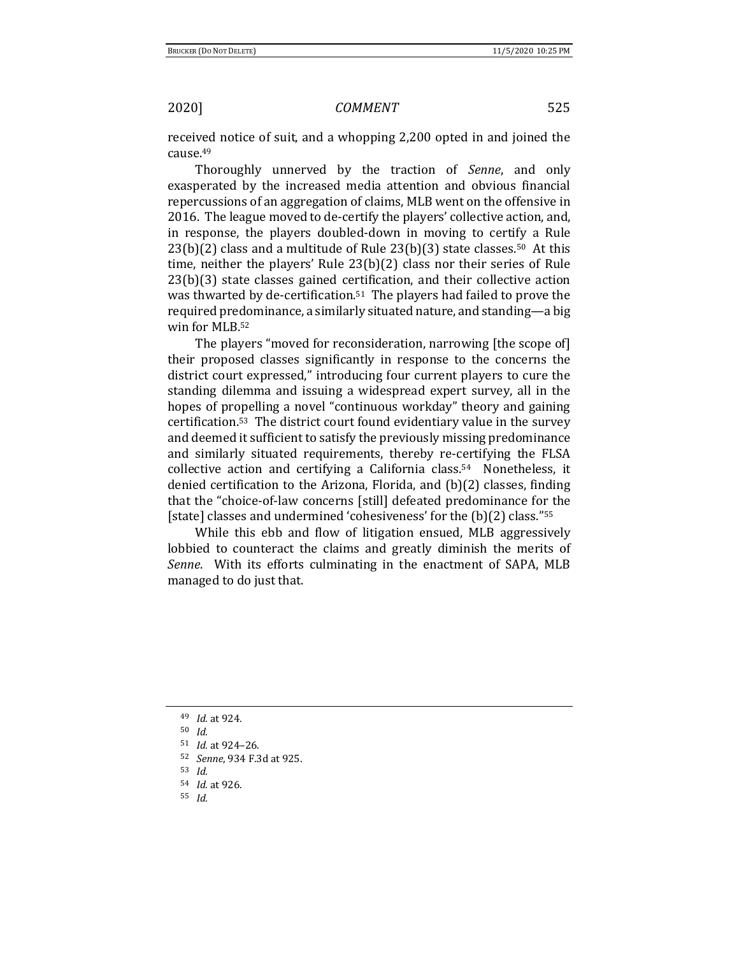received notice of suit, and a whopping 2,200 opted in and joined the cause.<sup>49</sup>

Thoroughly unnerved by the traction of *Senne*, and only exasperated by the increased media attention and obvious financial repercussions of an aggregation of claims, MLB went on the offensive in 2016. The league moved to de-certify the players' collective action, and, in response, the players doubled-down in moving to certify a Rule  $23(b)(2)$  class and a multitude of Rule  $23(b)(3)$  state classes.<sup>50</sup> At this time, neither the players' Rule 23(b)(2) class nor their series of Rule 23(b)(3) state classes gained certification, and their collective action was thwarted by de-certification.51 The players had failed to prove the required predominance, a similarly situated nature, and standing—a big win for MLB.<sup>52</sup>

The players "moved for reconsideration, narrowing [the scope of] their proposed classes significantly in response to the concerns the district court expressed," introducing four current players to cure the standing dilemma and issuing a widespread expert survey, all in the hopes of propelling a novel "continuous workday" theory and gaining certification.53 The district court found evidentiary value in the survey and deemed it sufficient to satisfy the previously missing predominance and similarly situated requirements, thereby re-certifying the FLSA collective action and certifying a California class.54 Nonetheless, it denied certification to the Arizona, Florida, and (b)(2) classes, finding that the "choice-of-law concerns [still] defeated predominance for the [state] classes and undermined 'cohesiveness' for the (b)(2) class."<sup>55</sup>

While this ebb and flow of litigation ensued, MLB aggressively lobbied to counteract the claims and greatly diminish the merits of *Senne*. With its efforts culminating in the enactment of SAPA, MLB managed to do just that.

<sup>49</sup> *Id.* at 924.

<sup>50</sup> *Id.*

<sup>51</sup> *Id.* at 924–26.

<sup>52</sup> *Senne*, 934 F.3d at 925.

<sup>53</sup> *Id.*

<sup>54</sup> *Id.* at 926.

<sup>55</sup> *Id.*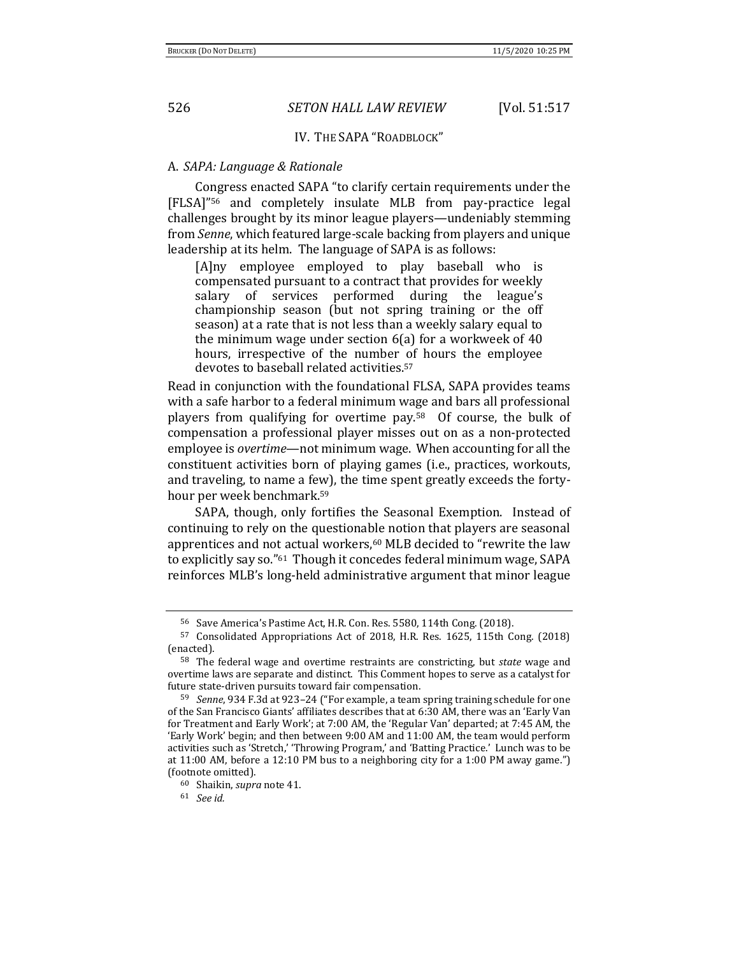### IV. THE SAPA "ROADBLOCK"

### A. *SAPA: Language & Rationale*

Congress enacted SAPA "to clarify certain requirements under the [FLSA]"<sup>56</sup> and completely insulate MLB from pay-practice legal challenges brought by its minor league players—undeniably stemming from *Senne*, which featured large-scale backing from players and unique leadership at its helm. The language of SAPA is as follows:

[A]ny employee employed to play baseball who is compensated pursuant to a contract that provides for weekly salary of services performed during the league's championship season (but not spring training or the off season) at a rate that is not less than a weekly salary equal to the minimum wage under section 6(a) for a workweek of 40 hours, irrespective of the number of hours the employee devotes to baseball related activities.<sup>57</sup>

Read in conjunction with the foundational FLSA, SAPA provides teams with a safe harbor to a federal minimum wage and bars all professional players from qualifying for overtime pay.58 Of course, the bulk of compensation a professional player misses out on as a non-protected employee is *overtime*—not minimum wage. When accounting for all the constituent activities born of playing games (i.e., practices, workouts, and traveling, to name a few), the time spent greatly exceeds the fortyhour per week benchmark.<sup>59</sup>

SAPA, though, only fortifies the Seasonal Exemption. Instead of continuing to rely on the questionable notion that players are seasonal apprentices and not actual workers,<sup>60</sup> MLB decided to "rewrite the law to explicitly say so."61 Though it concedes federal minimum wage, SAPA reinforces MLB's long-held administrative argument that minor league

<sup>61</sup> *See id.* 

<sup>56</sup> Save America's Pastime Act, H.R. Con. Res. 5580, 114th Cong. (2018).

<sup>57</sup> Consolidated Appropriations Act of 2018, H.R. Res. 1625, 115th Cong. (2018) (enacted).

<sup>58</sup> The federal wage and overtime restraints are constricting, but *state* wage and overtime laws are separate and distinct. This Comment hopes to serve as a catalyst for future state-driven pursuits toward fair compensation.

<sup>59</sup> *Senne*, 934 F.3d at 923–24 ("For example, a team spring training schedule for one of the San Francisco Giants' affiliates describes that at 6:30 AM, there was an 'Early Van for Treatment and Early Work'; at 7:00 AM, the 'Regular Van' departed; at 7:45 AM, the 'Early Work' begin; and then between 9:00 AM and 11:00 AM, the team would perform activities such as 'Stretch,' 'Throwing Program,' and 'Batting Practice.' Lunch was to be at 11:00 AM, before a 12:10 PM bus to a neighboring city for a 1:00 PM away game.") (footnote omitted).

<sup>60</sup> Shaikin, *supra* note 41.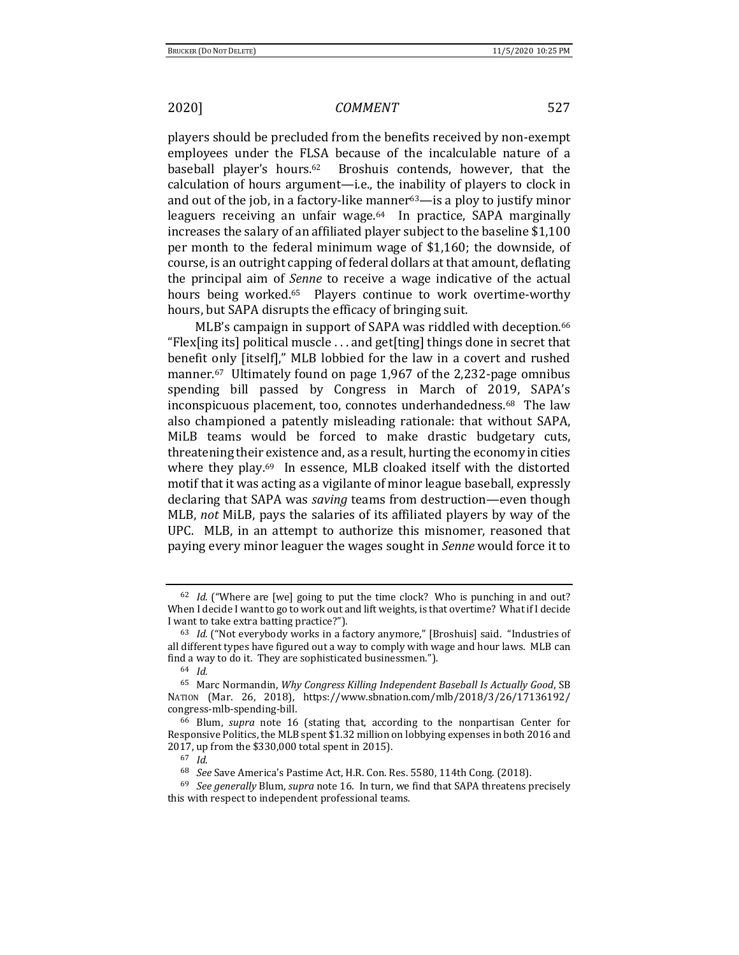players should be precluded from the benefits received by non-exempt employees under the FLSA because of the incalculable nature of a baseball player's hours.62 Broshuis contends, however, that the calculation of hours argument—i.e., the inability of players to clock in and out of the job, in a factory-like manner $63$ —is a ploy to justify minor leaguers receiving an unfair wage.<sup>64</sup> In practice, SAPA marginally increases the salary of an affiliated player subject to the baseline \$1,100 per month to the federal minimum wage of \$1,160; the downside, of course, is an outright capping of federal dollars at that amount, deflating the principal aim of *Senne* to receive a wage indicative of the actual hours being worked.<sup>65</sup> Players continue to work overtime-worthy hours, but SAPA disrupts the efficacy of bringing suit.

MLB's campaign in support of SAPA was riddled with deception.<sup>66</sup> "Flex[ing its] political muscle . . . and get[ting] things done in secret that benefit only [itself]," MLB lobbied for the law in a covert and rushed manner.67 Ultimately found on page 1,967 of the 2,232-page omnibus spending bill passed by Congress in March of 2019, SAPA's inconspicuous placement, too, connotes underhandedness.68 The law also championed a patently misleading rationale: that without SAPA, MiLB teams would be forced to make drastic budgetary cuts, threatening their existence and, as a result, hurting the economy in cities where they play.<sup>69</sup> In essence, MLB cloaked itself with the distorted motif that it was acting as a vigilante of minor league baseball, expressly declaring that SAPA was *saving* teams from destruction—even though MLB, *not* MiLB, pays the salaries of its affiliated players by way of the UPC. MLB, in an attempt to authorize this misnomer, reasoned that paying every minor leaguer the wages sought in *Senne* would force it to

<sup>62</sup> *Id.* ("Where are [we] going to put the time clock? Who is punching in and out? When I decide I want to go to work out and lift weights, is that overtime? What if I decide I want to take extra batting practice?").

<sup>63</sup> *Id.* ("Not everybody works in a factory anymore," [Broshuis] said. "Industries of all different types have figured out a way to comply with wage and hour laws. MLB can find a way to do it. They are sophisticated businessmen.").

<sup>64</sup> *Id.*

<sup>65</sup> Marc Normandin, *Why Congress Killing Independent Baseball Is Actually Good*, SB NATION (Mar. 26, 2018), https://www.sbnation.com/mlb/2018/3/26/17136192/ congress-mlb-spending-bill.

<sup>66</sup> Blum, *supra* note 16 (stating that, according to the nonpartisan Center for Responsive Politics, the MLB spent \$1.32 million on lobbying expenses in both 2016 and 2017, up from the \$330,000 total spent in 2015).

<sup>67</sup> *Id.*

<sup>68</sup> *See* Save America's Pastime Act, H.R. Con. Res. 5580, 114th Cong. (2018).

<sup>69</sup> *See generally* Blum, *supra* note 16. In turn, we find that SAPA threatens precisely this with respect to independent professional teams.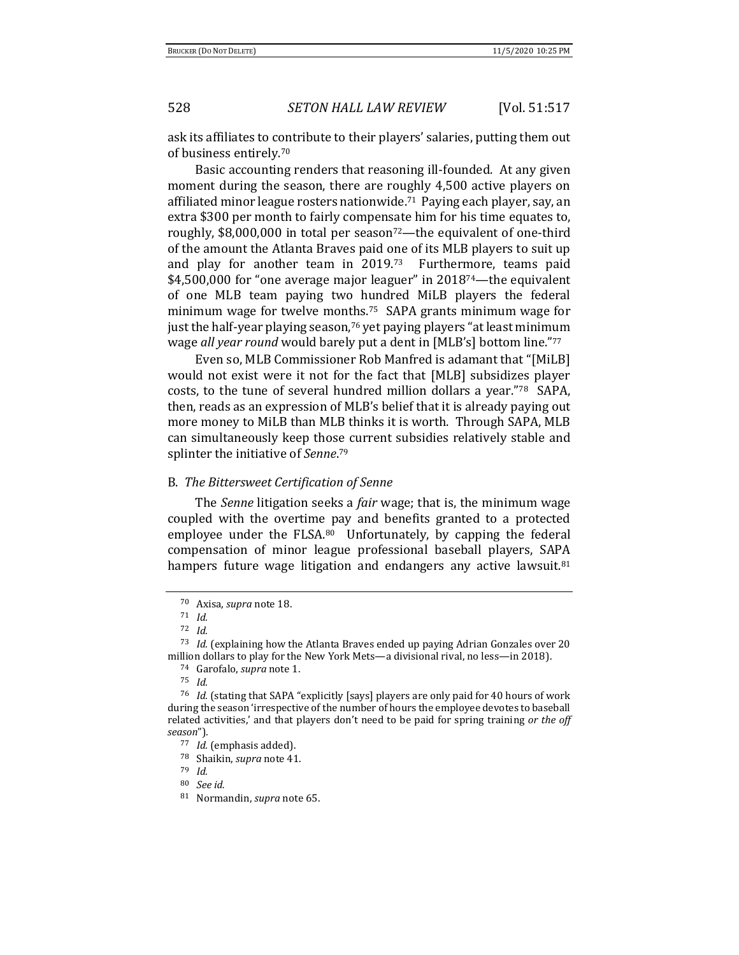ask its affiliates to contribute to their players' salaries, putting them out of business entirely.<sup>70</sup>

Basic accounting renders that reasoning ill-founded. At any given moment during the season, there are roughly 4,500 active players on affiliated minor league rosters nationwide.71 Paying each player, say, an extra \$300 per month to fairly compensate him for his time equates to, roughly,  $$8,000,000$  in total per season<sup>72</sup>—the equivalent of one-third of the amount the Atlanta Braves paid one of its MLB players to suit up and play for another team in 2019.73 Furthermore, teams paid \$4,500,000 for "one average major leaguer" in 2018<sup>74</sup>—the equivalent of one MLB team paying two hundred MiLB players the federal minimum wage for twelve months.75 SAPA grants minimum wage for just the half-year playing season,<sup>76</sup> yet paying players "at least minimum wage *all year round* would barely put a dent in [MLB's] bottom line."<sup>77</sup>

Even so, MLB Commissioner Rob Manfred is adamant that "[MiLB] would not exist were it not for the fact that [MLB] subsidizes player costs, to the tune of several hundred million dollars a year."78 SAPA, then, reads as an expression of MLB's belief that it is already paying out more money to MiLB than MLB thinks it is worth. Through SAPA, MLB can simultaneously keep those current subsidies relatively stable and splinter the initiative of *Senne*. 79

### B. *The Bittersweet Certification of Senne*

The *Senne* litigation seeks a *fair* wage; that is, the minimum wage coupled with the overtime pay and benefits granted to a protected employee under the FLSA.80 Unfortunately, by capping the federal compensation of minor league professional baseball players, SAPA hampers future wage litigation and endangers any active lawsuit.<sup>81</sup>

<sup>70</sup> Axisa, *supra* note 18.

<sup>71</sup> *Id.*

<sup>72</sup> *Id.*

<sup>73</sup> *Id.* (explaining how the Atlanta Braves ended up paying Adrian Gonzales over 20 million dollars to play for the New York Mets—a divisional rival, no less—in 2018).

<sup>74</sup> Garofalo, *supra* note 1.

<sup>75</sup> *Id.* 

<sup>76</sup> *Id.* (stating that SAPA "explicitly [says] players are only paid for 40 hours of work during the season 'irrespective of the number of hours the employee devotes to baseball related activities,' and that players don't need to be paid for spring training *or the off season*").

<sup>77</sup> *Id.* (emphasis added).

<sup>78</sup> Shaikin, *supra* note 41.

<sup>79</sup> *Id.*

<sup>80</sup> *See id.* 

<sup>81</sup> Normandin, *supra* note 65.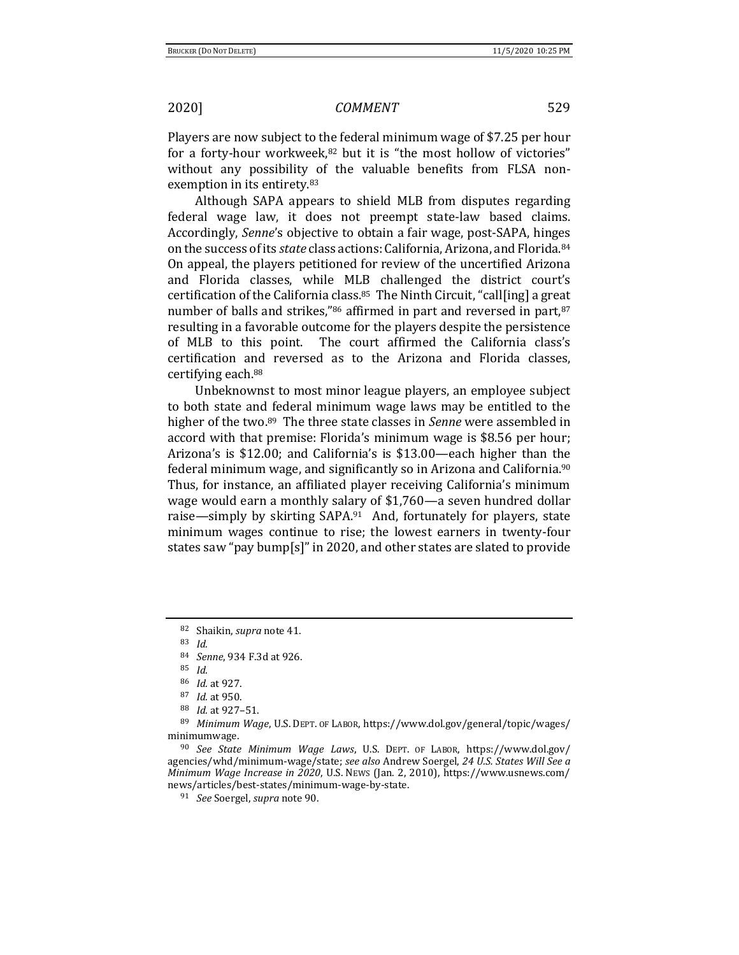Players are now subject to the federal minimum wage of \$7.25 per hour for a forty-hour workweek,<sup>82</sup> but it is "the most hollow of victories" without any possibility of the valuable benefits from FLSA nonexemption in its entirety.<sup>83</sup>

Although SAPA appears to shield MLB from disputes regarding federal wage law, it does not preempt state-law based claims. Accordingly, *Senne*'s objective to obtain a fair wage, post-SAPA, hinges on the success of its *state* class actions: California, Arizona, and Florida.<sup>84</sup> On appeal, the players petitioned for review of the uncertified Arizona and Florida classes, while MLB challenged the district court's certification of the California class.<sup>85</sup> The Ninth Circuit, "call[ing] a great number of balls and strikes,"86 affirmed in part and reversed in part, 87 resulting in a favorable outcome for the players despite the persistence of MLB to this point. The court affirmed the California class's certification and reversed as to the Arizona and Florida classes, certifying each.<sup>88</sup>

Unbeknownst to most minor league players, an employee subject to both state and federal minimum wage laws may be entitled to the higher of the two.89 The three state classes in *Senne* were assembled in accord with that premise: Florida's minimum wage is \$8.56 per hour; Arizona's is \$12.00; and California's is \$13.00—each higher than the federal minimum wage, and significantly so in Arizona and California.<sup>90</sup> Thus, for instance, an affiliated player receiving California's minimum wage would earn a monthly salary of \$1,760—a seven hundred dollar raise—simply by skirting SAPA.<sup>91</sup> And, fortunately for players, state minimum wages continue to rise; the lowest earners in twenty-four states saw "pay bump[s]" in 2020, and other states are slated to provide

<sup>82</sup> Shaikin, *supra* note 41.

<sup>83</sup> *Id.*

<sup>84</sup> *Senne*, 934 F.3d at 926.

<sup>85</sup> *Id.*

<sup>86</sup> *Id.* at 927.

<sup>87</sup> *Id.* at 950.

<sup>88</sup> *Id.* at 927–51.

<sup>89</sup> *Minimum Wage*, U.S. DEPT. OF LABOR, https://www.dol.gov/general/topic/wages/ minimumwage.

<sup>90</sup> *See State Minimum Wage Laws*, U.S. DEPT. OF LABOR, https://www.dol.gov/ agencies/whd/minimum-wage/state; *see also* Andrew Soergel, *24 U.S. States Will See a Minimum Wage Increase in 2020*, U.S. NEWS (Jan. 2, 2010), https://www.usnews.com/ news/articles/best-states/minimum-wage-by-state.

<sup>91</sup> *See* Soergel, *supra* note 90.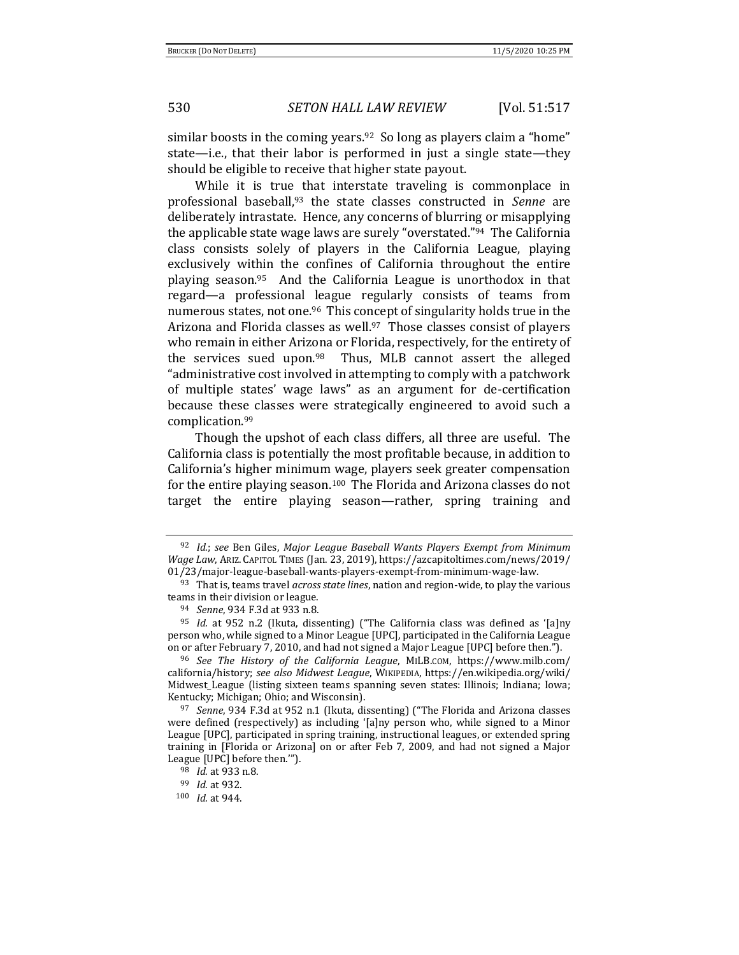similar boosts in the coming years.<sup>92</sup> So long as players claim a "home" state—i.e., that their labor is performed in just a single state—they should be eligible to receive that higher state payout.

While it is true that interstate traveling is commonplace in professional baseball,<sup>93</sup> the state classes constructed in *Senne* are deliberately intrastate. Hence, any concerns of blurring or misapplying the applicable state wage laws are surely "overstated."94 The California class consists solely of players in the California League, playing exclusively within the confines of California throughout the entire playing season.95 And the California League is unorthodox in that regard—a professional league regularly consists of teams from numerous states, not one.<sup>96</sup> This concept of singularity holds true in the Arizona and Florida classes as well.<sup>97</sup> Those classes consist of players who remain in either Arizona or Florida, respectively, for the entirety of the services sued upon.<sup>98</sup> Thus, MLB cannot assert the alleged "administrative cost involved in attempting to comply with a patchwork of multiple states' wage laws" as an argument for de-certification because these classes were strategically engineered to avoid such a complication.<sup>99</sup>

Though the upshot of each class differs, all three are useful. The California class is potentially the most profitable because, in addition to California's higher minimum wage, players seek greater compensation for the entire playing season.100 The Florida and Arizona classes do not target the entire playing season—rather, spring training and

<sup>92</sup> *Id.*; *see* Ben Giles, *Major League Baseball Wants Players Exempt from Minimum Wage Law*, ARIZ. CAPITOL TIMES (Jan. 23, 2019), https://azcapitoltimes.com/news/2019/ 01/23/major-league-baseball-wants-players-exempt-from-minimum-wage-law.

<sup>93</sup> That is, teams travel *across state lines*, nation and region-wide, to play the various teams in their division or league.

<sup>94</sup> *Senne*, 934 F.3d at 933 n.8.

<sup>95</sup> *Id.* at 952 n.2 (Ikuta, dissenting) ("The California class was defined as '[a]ny person who, while signed to a Minor League [UPC], participated in the California League on or after February 7, 2010, and had not signed a Major League [UPC] before then.").

<sup>96</sup> *See The History of the California League*, MILB.COM, https://www.milb.com/ california/history; *see also Midwest League*, WIKIPEDIA, https://en.wikipedia.org/wiki/ Midwest\_League (listing sixteen teams spanning seven states: Illinois; Indiana; Iowa; Kentucky; Michigan; Ohio; and Wisconsin).

<sup>97</sup> *Senne*, 934 F.3d at 952 n.1 (Ikuta, dissenting) ("The Florida and Arizona classes were defined (respectively) as including '[a]ny person who, while signed to a Minor League [UPC], participated in spring training, instructional leagues, or extended spring training in [Florida or Arizona] on or after Feb 7, 2009, and had not signed a Major League [UPC] before then.'").

<sup>98</sup> *Id.* at 933 n.8.

<sup>99</sup> *Id.* at 932.

<sup>100</sup> *Id.* at 944.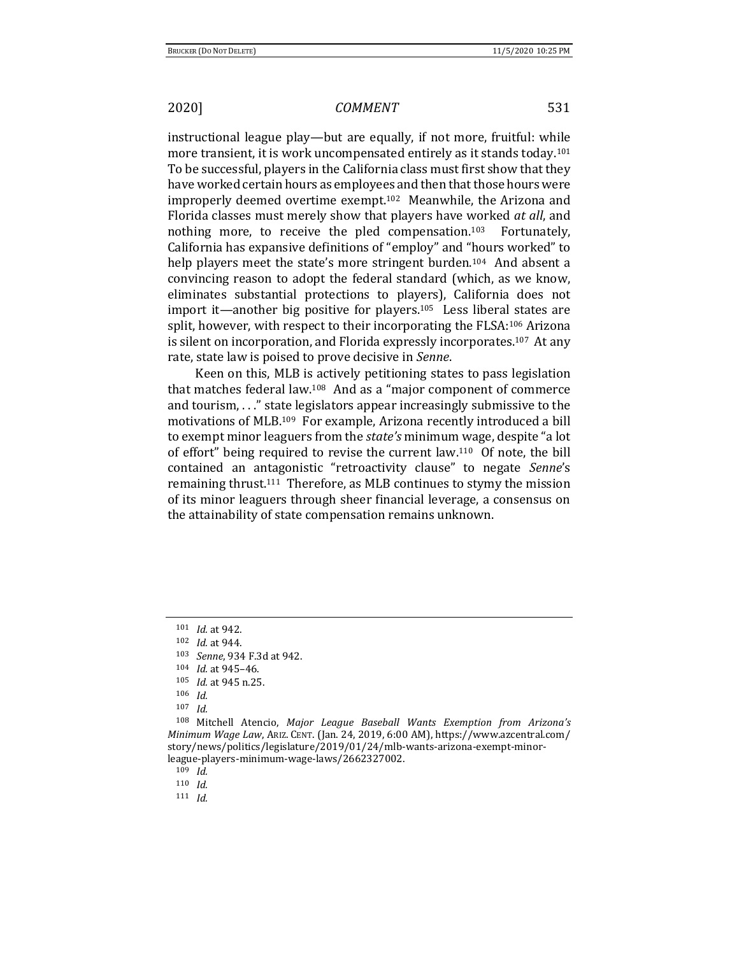instructional league play—but are equally, if not more, fruitful: while more transient, it is work uncompensated entirely as it stands today.<sup>101</sup> To be successful, players in the California class must first show that they have worked certain hours as employees and then that those hours were improperly deemed overtime exempt.102 Meanwhile, the Arizona and Florida classes must merely show that players have worked *at all*, and nothing more, to receive the pled compensation.<sup>103</sup> Fortunately, California has expansive definitions of "employ" and "hours worked" to help players meet the state's more stringent burden.<sup>104</sup> And absent a convincing reason to adopt the federal standard (which, as we know, eliminates substantial protections to players), California does not import it—another big positive for players.105 Less liberal states are split, however, with respect to their incorporating the FLSA:<sup>106</sup> Arizona is silent on incorporation, and Florida expressly incorporates.<sup>107</sup> At any rate, state law is poised to prove decisive in *Senne*.

Keen on this, MLB is actively petitioning states to pass legislation that matches federal law.<sup>108</sup> And as a "major component of commerce and tourism, . . ." state legislators appear increasingly submissive to the motivations of MLB.109 For example, Arizona recently introduced a bill to exempt minor leaguers from the *state's* minimum wage, despite "a lot of effort" being required to revise the current law.110 Of note, the bill contained an antagonistic "retroactivity clause" to negate *Senne*'s remaining thrust.111 Therefore, as MLB continues to stymy the mission of its minor leaguers through sheer financial leverage, a consensus on the attainability of state compensation remains unknown.

<sup>103</sup> *Senne*, 934 F.3d at 942.

<sup>108</sup> Mitchell Atencio, *Major League Baseball Wants Exemption from Arizona's Minimum Wage Law*, ARIZ. CENT. (Jan. 24, 2019, 6:00 AM), https://www.azcentral.com/ story/news/politics/legislature/2019/01/24/mlb-wants-arizona-exempt-minorleague-players-minimum-wage-laws/2662327002.

<sup>109</sup> *Id.*

<sup>111</sup> *Id.*

<sup>101</sup> *Id.* at 942.

<sup>102</sup> *Id.* at 944.

<sup>104</sup> *Id.* at 945–46.

<sup>105</sup> *Id.* at 945 n.25.

<sup>106</sup> *Id.*

<sup>107</sup> *Id.*

<sup>110</sup> *Id.*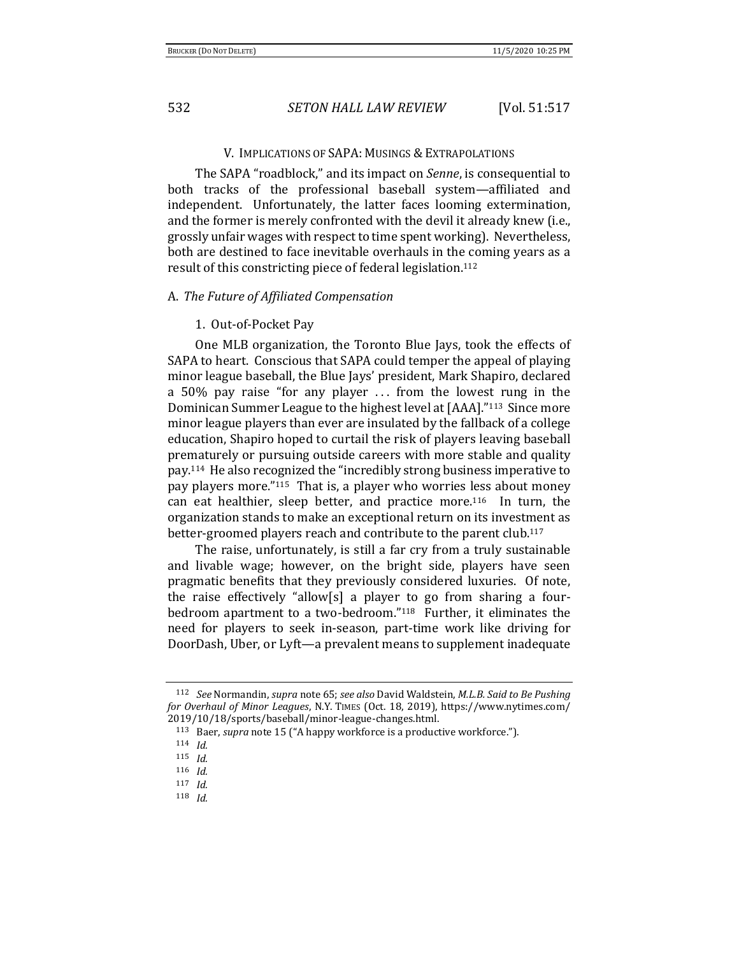### V. IMPLICATIONS OF SAPA: MUSINGS & EXTRAPOLATIONS

The SAPA "roadblock," and its impact on *Senne*, is consequential to both tracks of the professional baseball system—affiliated and independent. Unfortunately, the latter faces looming extermination, and the former is merely confronted with the devil it already knew (i.e., grossly unfair wages with respect to time spent working). Nevertheless, both are destined to face inevitable overhauls in the coming years as a result of this constricting piece of federal legislation.<sup>112</sup>

### A. *The Future of Affiliated Compensation*

### 1. Out-of-Pocket Pay

One MLB organization, the Toronto Blue Jays, took the effects of SAPA to heart. Conscious that SAPA could temper the appeal of playing minor league baseball, the Blue Jays' president, Mark Shapiro, declared a 50% pay raise "for any player ... from the lowest rung in the Dominican Summer League to the highest level at [AAA]."113 Since more minor league players than ever are insulated by the fallback of a college education, Shapiro hoped to curtail the risk of players leaving baseball prematurely or pursuing outside careers with more stable and quality pay.<sup>114</sup> He also recognized the "incredibly strong business imperative to pay players more."115 That is, a player who worries less about money can eat healthier, sleep better, and practice more.116 In turn, the organization stands to make an exceptional return on its investment as better-groomed players reach and contribute to the parent club.<sup>117</sup>

The raise, unfortunately, is still a far cry from a truly sustainable and livable wage; however, on the bright side, players have seen pragmatic benefits that they previously considered luxuries. Of note, the raise effectively "allow[s] a player to go from sharing a fourbedroom apartment to a two-bedroom."<sup>118</sup> Further, it eliminates the need for players to seek in-season, part-time work like driving for DoorDash, Uber, or Lyft—a prevalent means to supplement inadequate

<sup>112</sup> *See* Normandin, *supra* note 65; *see also* David Waldstein, *M.L.B. Said to Be Pushing for Overhaul of Minor Leagues*, N.Y. TIMES (Oct. 18, 2019), https://www.nytimes.com/ 2019/10/18/sports/baseball/minor-league-changes.html.

<sup>113</sup> Baer, *supra* note 15 ("A happy workforce is a productive workforce.").

<sup>114</sup> *Id.*

<sup>115</sup> *Id.*

<sup>116</sup> *Id.*

<sup>117</sup> *Id.*

<sup>118</sup> *Id.*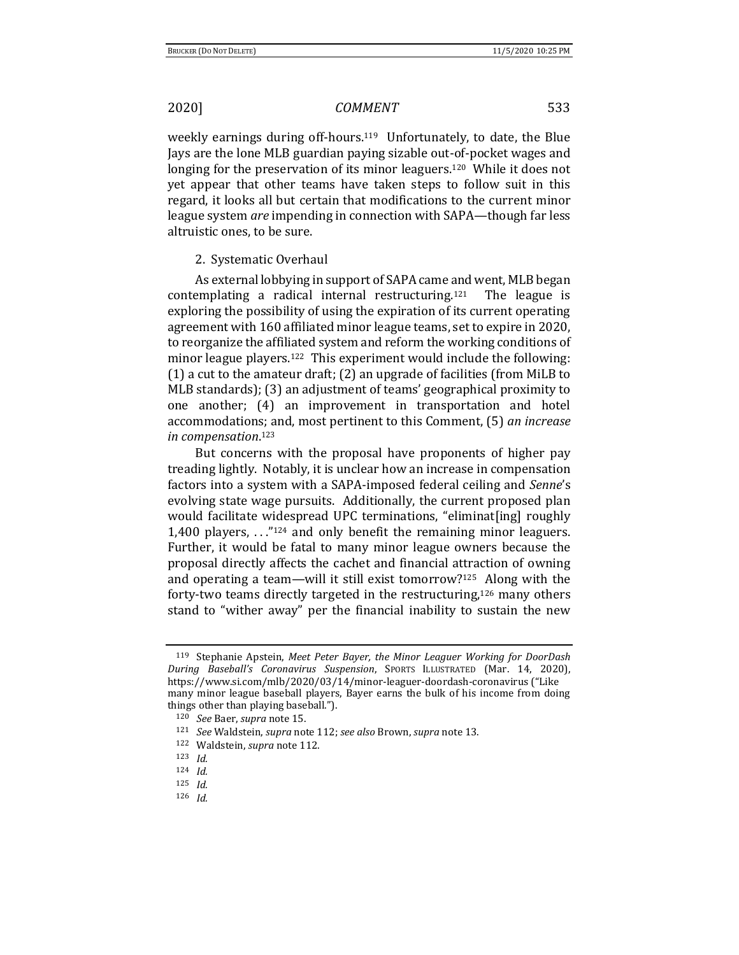weekly earnings during off-hours.119 Unfortunately, to date, the Blue Jays are the lone MLB guardian paying sizable out-of-pocket wages and longing for the preservation of its minor leaguers.<sup>120</sup> While it does not yet appear that other teams have taken steps to follow suit in this regard, it looks all but certain that modifications to the current minor league system *are* impending in connection with SAPA—though far less altruistic ones, to be sure.

### 2. Systematic Overhaul

As external lobbying in support of SAPA came and went, MLB began contemplating a radical internal restructuring.121 The league is exploring the possibility of using the expiration of its current operating agreement with 160 affiliated minor league teams, set to expire in 2020, to reorganize the affiliated system and reform the working conditions of minor league players.<sup>122</sup> This experiment would include the following: (1) a cut to the amateur draft; (2) an upgrade of facilities (from MiLB to MLB standards); (3) an adjustment of teams' geographical proximity to one another; (4) an improvement in transportation and hotel accommodations; and, most pertinent to this Comment, (5) *an increase in compensation*. <sup>123</sup>

But concerns with the proposal have proponents of higher pay treading lightly. Notably, it is unclear how an increase in compensation factors into a system with a SAPA-imposed federal ceiling and *Senne*'s evolving state wage pursuits. Additionally, the current proposed plan would facilitate widespread UPC terminations, "eliminat[ing] roughly 1,400 players, . . ."<sup>124</sup> and only benefit the remaining minor leaguers. Further, it would be fatal to many minor league owners because the proposal directly affects the cachet and financial attraction of owning and operating a team—will it still exist tomorrow?125 Along with the forty-two teams directly targeted in the restructuring,<sup>126</sup> many others stand to "wither away" per the financial inability to sustain the new

<sup>119</sup> Stephanie Apstein, *Meet Peter Bayer, the Minor Leaguer Working for DoorDash During Baseball's Coronavirus Suspension*, SPORTS ILLUSTRATED (Mar. 14, 2020), https://www.si.com/mlb/2020/03/14/minor-leaguer-doordash-coronavirus ("Like many minor league baseball players, Bayer earns the bulk of his income from doing things other than playing baseball.").

<sup>120</sup> *See* Baer, *supra* note 15.

<sup>121</sup> *See* Waldstein, *supra* note 112; *see also* Brown, *supra* note 13.

<sup>122</sup> Waldstein, *supra* note 112.

<sup>123</sup> *Id.* 

<sup>124</sup> *Id.*

<sup>125</sup> *Id.*

<sup>126</sup> *Id.*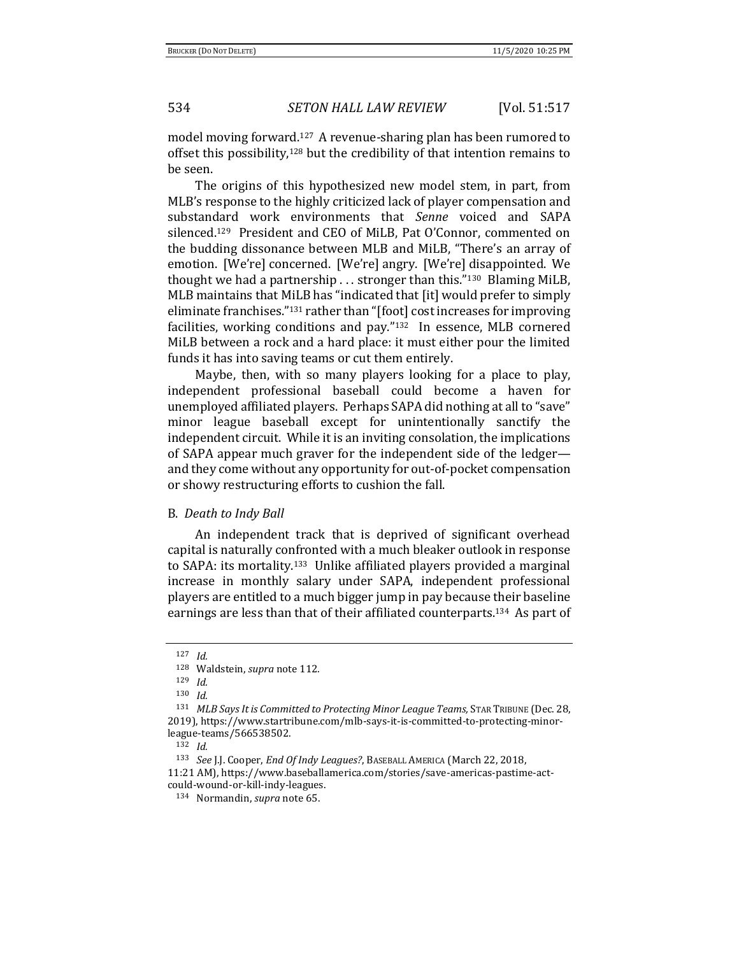model moving forward.127 A revenue-sharing plan has been rumored to offset this possibility,<sup>128</sup> but the credibility of that intention remains to be seen.

The origins of this hypothesized new model stem, in part, from MLB's response to the highly criticized lack of player compensation and substandard work environments that *Senne* voiced and SAPA silenced.<sup>129</sup> President and CEO of MiLB, Pat O'Connor, commented on the budding dissonance between MLB and MiLB, "There's an array of emotion. [We're] concerned. [We're] angry. [We're] disappointed. We thought we had a partnership . . . stronger than this."130 Blaming MiLB, MLB maintains that MiLB has "indicated that [it] would prefer to simply eliminate franchises."<sup>131</sup> rather than "[foot] cost increases for improving facilities, working conditions and pay."132 In essence, MLB cornered MiLB between a rock and a hard place: it must either pour the limited funds it has into saving teams or cut them entirely.

Maybe, then, with so many players looking for a place to play, independent professional baseball could become a haven for unemployed affiliated players. Perhaps SAPA did nothing at all to "save" minor league baseball except for unintentionally sanctify the independent circuit. While it is an inviting consolation, the implications of SAPA appear much graver for the independent side of the ledger and they come without any opportunity for out-of-pocket compensation or showy restructuring efforts to cushion the fall.

### B. *Death to Indy Ball*

An independent track that is deprived of significant overhead capital is naturally confronted with a much bleaker outlook in response to SAPA: its mortality.133 Unlike affiliated players provided a marginal increase in monthly salary under SAPA, independent professional players are entitled to a much bigger jump in pay because their baseline earnings are less than that of their affiliated counterparts.134 As part of

<sup>127</sup> *Id.*

<sup>128</sup> Waldstein, *supra* note 112.

<sup>129</sup> *Id.*

<sup>130</sup> *Id.*

<sup>&</sup>lt;sup>131</sup> *MLB Says It is Committed to Protecting Minor League Teams, STAR TRIBUNE* (Dec. 28, 2019), https://www.startribune.com/mlb-says-it-is-committed-to-protecting-minorleague-teams/566538502.

<sup>132</sup> *Id.*

<sup>133</sup> *See* J.J. Cooper, *End Of Indy Leagues?*, BASEBALL AMERICA (March 22, 2018,

<sup>11:21</sup> AM), https://www.baseballamerica.com/stories/save-americas-pastime-actcould-wound-or-kill-indy-leagues.

<sup>134</sup> Normandin, *supra* note 65.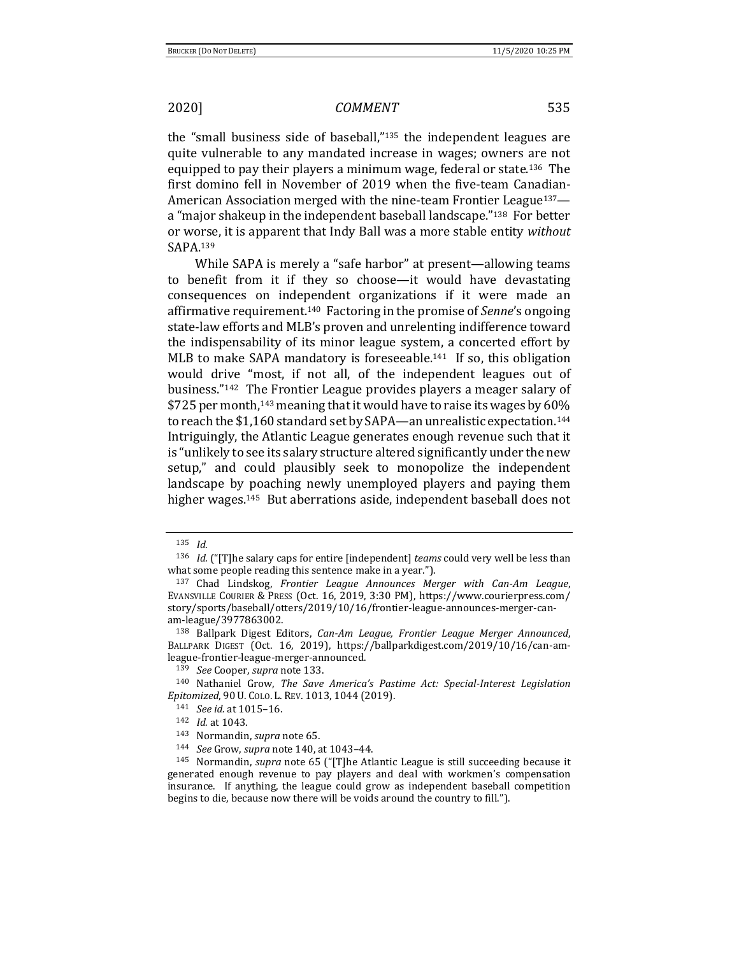the "small business side of baseball,"<sup>135</sup> the independent leagues are quite vulnerable to any mandated increase in wages; owners are not equipped to pay their players a minimum wage, federal or state.136 The first domino fell in November of 2019 when the five-team Canadian-American Association merged with the nine-team Frontier League<sup>137</sup> a "major shakeup in the independent baseball landscape."138 For better or worse, it is apparent that Indy Ball was a more stable entity *without* SAPA.<sup>139</sup>

While SAPA is merely a "safe harbor" at present—allowing teams to benefit from it if they so choose—it would have devastating consequences on independent organizations if it were made an affirmative requirement.140 Factoring in the promise of *Senne*'s ongoing state-law efforts and MLB's proven and unrelenting indifference toward the indispensability of its minor league system, a concerted effort by MLB to make SAPA mandatory is foreseeable.<sup>141</sup> If so, this obligation would drive "most, if not all, of the independent leagues out of business."142 The Frontier League provides players a meager salary of \$725 per month,<sup>143</sup> meaning that it would have to raise its wages by 60% to reach the \$1,160 standard set by SAPA—an unrealistic expectation.<sup>144</sup> Intriguingly, the Atlantic League generates enough revenue such that it is "unlikely to see its salary structure altered significantly under the new setup," and could plausibly seek to monopolize the independent landscape by poaching newly unemployed players and paying them higher wages.<sup>145</sup> But aberrations aside, independent baseball does not

<sup>135</sup> *Id.*

<sup>136</sup> *Id.* ("[T]he salary caps for entire [independent] *teams* could very well be less than what some people reading this sentence make in a year.").

<sup>137</sup> Chad Lindskog, *Frontier League Announces Merger with Can-Am League*, EVANSVILLE COURIER & PRESS (Oct. 16, 2019, 3:30 PM), https://www.courierpress.com/ story/sports/baseball/otters/2019/10/16/frontier-league-announces-merger-canam-league/3977863002.

<sup>138</sup> Ballpark Digest Editors, *Can-Am League, Frontier League Merger Announced*, BALLPARK DIGEST (Oct. 16, 2019), https://ballparkdigest.com/2019/10/16/can-amleague-frontier-league-merger-announced.

<sup>139</sup> *See* Cooper, *supra* note 133.

<sup>140</sup> Nathaniel Grow, *The Save America's Pastime Act: Special-Interest Legislation Epitomized*, 90 U. COLO. L. REV. 1013, 1044 (2019).

<sup>141</sup> *See id.* at 1015–16.

<sup>142</sup> *Id.* at 1043.

<sup>143</sup> Normandin, *supra* note 65.

<sup>144</sup> *See* Grow, *supra* note 140, at 1043–44.

<sup>145</sup> Normandin, *supra* note 65 ("[T]he Atlantic League is still succeeding because it generated enough revenue to pay players and deal with workmen's compensation insurance. If anything, the league could grow as independent baseball competition begins to die, because now there will be voids around the country to fill.").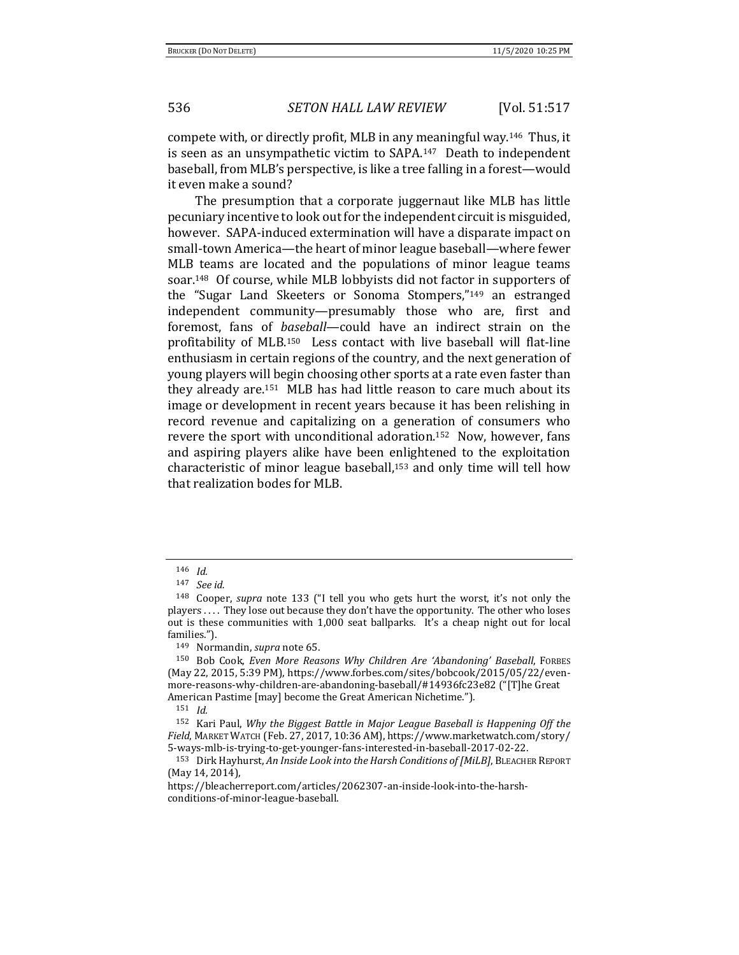compete with, or directly profit, MLB in any meaningful way.146 Thus, it is seen as an unsympathetic victim to SAPA.147 Death to independent baseball, from MLB's perspective, is like a tree falling in a forest—would it even make a sound?

The presumption that a corporate juggernaut like MLB has little pecuniary incentive to look out for the independent circuit is misguided, however. SAPA-induced extermination will have a disparate impact on small-town America—the heart of minor league baseball—where fewer MLB teams are located and the populations of minor league teams soar.148 Of course, while MLB lobbyists did not factor in supporters of the "Sugar Land Skeeters or Sonoma Stompers,"<sup>149</sup> an estranged independent community—presumably those who are, first and foremost, fans of *baseball*—could have an indirect strain on the profitability of MLB.150 Less contact with live baseball will flat-line enthusiasm in certain regions of the country, and the next generation of young players will begin choosing other sports at a rate even faster than they already are.151 MLB has had little reason to care much about its image or development in recent years because it has been relishing in record revenue and capitalizing on a generation of consumers who revere the sport with unconditional adoration.152 Now, however, fans and aspiring players alike have been enlightened to the exploitation characteristic of minor league baseball,<sup>153</sup> and only time will tell how that realization bodes for MLB.

<sup>146</sup> *Id.*

<sup>147</sup> *See id.*

<sup>148</sup> Cooper, *supra* note 133 ("I tell you who gets hurt the worst, it's not only the players . . . . They lose out because they don't have the opportunity. The other who loses out is these communities with 1,000 seat ballparks. It's a cheap night out for local families.").

<sup>149</sup> Normandin, *supra* note 65.

<sup>150</sup> Bob Cook, *Even More Reasons Why Children Are 'Abandoning' Baseball*, FORBES (May 22, 2015, 5:39 PM), https://www.forbes.com/sites/bobcook/2015/05/22/evenmore-reasons-why-children-are-abandoning-baseball/#14936fc23e82 ("[T]he Great American Pastime [may] become the Great American Nichetime.").

<sup>151</sup> *Id.*

<sup>152</sup> Kari Paul, *Why the Biggest Battle in Major League Baseball is Happening Off the Field*, MARKET WATCH (Feb. 27, 2017, 10:36 AM), https://www.marketwatch.com/story/ 5-ways-mlb-is-trying-to-get-younger-fans-interested-in-baseball-2017-02-22.

<sup>153</sup> Dirk Hayhurst, *An Inside Look into the Harsh Conditions of [MiLB]*, BLEACHER REPORT (May 14, 2014),

https://bleacherreport.com/articles/2062307-an-inside-look-into-the-harshconditions-of-minor-league-baseball.